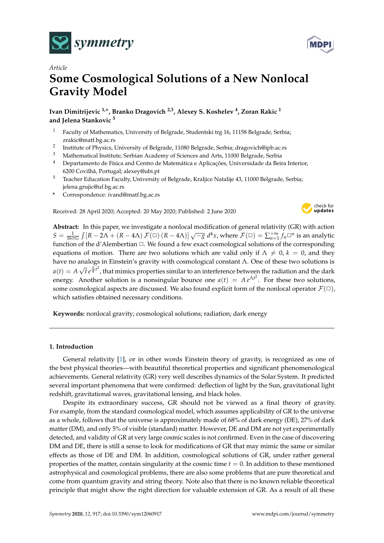



# *Article* **Some Cosmological Solutions of a New Nonlocal Gravity Model**

**Ivan Dimitrijevic 1,**<sup>∗</sup> **, Branko Dragovich 2,3, Alexey S. Koshelev <sup>4</sup> , Zoran Rakic <sup>1</sup> and Jelena Stankovic <sup>5</sup>**

- <sup>1</sup> Faculty of Mathematics, University of Belgrade, Studentski trg 16, 11158 Belgrade, Serbia; zrakic@matf.bg.ac.rs
- 2 Institute of Physics, University of Belgrade, 11080 Belgrade, Serbia; dragovich@ipb.ac.rs
- <sup>3</sup> Mathematical Institute, Serbian Academy of Sciences and Arts, 11000 Belgrade, Serbia
- <sup>4</sup> Departamento de Física and Centro de Matemática e Aplicações, Universidade da Beira Interior, 6200 Covilhã, Portugal; alexey@ubi.pt
- <sup>5</sup> Teacher Education Faculty, University of Belgrade, Kraljice Natalije 43, 11000 Belgrade, Serbia; jelena.grujic@uf.bg.ac.rs
- **\*** Correspondence: ivand@matf.bg.ac.rs

Received: 28 April 2020; Accepted: 20 May 2020; Published: 2 June 2020



**Abstract:** In this paper, we investigate a nonlocal modification of general relativity (GR) with action  $S = \frac{1}{16\pi G} \int [R - 2\Lambda + (R - 4\Lambda) \mathcal{F}(\Box) (R - 4\Lambda)] \sqrt{-g} d^4x$ , where  $\mathcal{F}(\Box) = \sum_{n=1}^{+\infty} f_n \Box^n$  is an analytic function of the d'Alembertian  $\Box$ . We found a few exact cosmological solutions of the corresponding equations of motion. There are two solutions which are valid only if  $\Lambda \neq 0$ ,  $k = 0$ , and they have no analogs in Einstein's gravity with cosmological constant Λ. One of these two solutions is  $a(t) = A\,\sqrt{t}\,e^{\frac{\Lambda}{4}t^2}$ , that mimics properties similar to an interference between the radiation and the dark energy. Another solution is a nonsingular bounce one  $a(t) = A e^{\Lambda t^2}$ . For these two solutions, some cosmological aspects are discussed. We also found explicit form of the nonlocal operator  $\mathcal{F}(\Box)$ , which satisfies obtained necessary conditions.

**Keywords:** nonlocal gravity; cosmological solutions; radiation; dark energy

# **1. Introduction**

General relativity [\[1\]](#page-7-0), or in other words Einstein theory of gravity, is recognized as one of the best physical theories—with beautiful theoretical properties and significant phenomenological achievements. General relativity (GR) very well describes dynamics of the Solar System. It predicted several important phenomena that were confirmed: deflection of light by the Sun, gravitational light redshift, gravitational waves, gravitational lensing, and black holes.

Despite its extraordinary success, GR should not be viewed as a final theory of gravity. For example, from the standard cosmological model, which assumes applicability of GR to the universe as a whole, follows that the universe is approximately made of 68% of dark energy (DE), 27% of dark matter (DM), and only 5% of visible (standard) matter. However, DE and DM are not yet experimentally detected, and validity of GR at very large cosmic scales is not confirmed. Even in the case of discovering DM and DE, there is still a sense to look for modifications of GR that may mimic the same or similar effects as those of DE and DM. In addition, cosmological solutions of GR, under rather general properties of the matter, contain singularity at the cosmic time  $t = 0$ . In addition to these mentioned astrophysical and cosmological problems, there are also some problems that are pure theoretical and come from quantum gravity and string theory. Note also that there is no known reliable theoretical principle that might show the right direction for valuable extension of GR. As a result of all these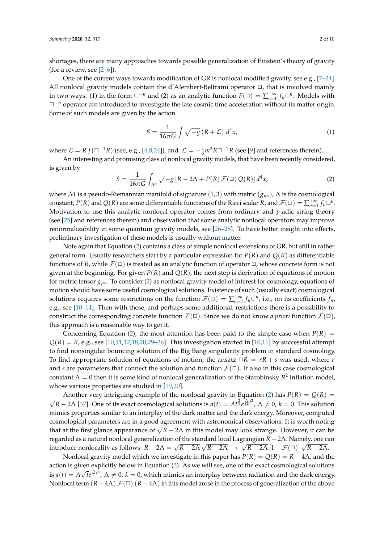shortages, there are many approaches towards possible generalization of Einstein's theory of gravity (for a review, see  $[2-6]$  $[2-6]$ ).

One of the current ways towards modification of GR is nonlocal modified gravity, see e.g., [\[7–](#page-7-3)[24\]](#page-8-0). All nonlocal gravity models contain the d'Alembert-Beltrami operator  $\Box$ , that is involved mainly in two ways: (1) in the form  $\Box^{-n}$  and (2) as an analytic function  $F(\Box) = \sum_{n=0}^{+\infty} f_n \Box^n$ . Models with  $□<sup>−</sup>n$  operator are introduced to investigate the late cosmic time acceleration without its matter origin. Some of such models are given by the action

$$
S = \frac{1}{16\pi G} \int \sqrt{-g} \left( R + \mathcal{L} \right) d^4 x,\tag{1}
$$

where  $\mathcal{L} = R f(\square^{-1}R)$  (see, e.g., [\[4,](#page-7-4)[8](#page-7-5)[,24\]](#page-8-0)), and  $\mathcal{L} = -\frac{1}{6}m^2R\square^{-2}R$  (see [\[9\]](#page-7-6) and references therein).

An interesting and promising class of nonlocal gravity models, that have been recently considered, is given by

<span id="page-1-0"></span>
$$
S = \frac{1}{16\pi G} \int_{\mathcal{M}} \sqrt{-g} \left[ R - 2\Lambda + P(R) \mathcal{F}(\Box) Q(R) \right] d^4x,\tag{2}
$$

where M is a pseudo-Riemannian manifold of signature (1, 3) with metric (*gµν*), Λ is the cosmological constant,  $P(R)$  and  $Q(R)$  are some differentiable functions of the Ricci scalar  $R$ , and  $\mathcal{F}(\Box) = \sum_{n=1}^{+\infty} f_n \Box^n$ . Motivation to use this analytic nonlocal operator comes from ordinary and *p*-adic string theory (see [\[25\]](#page-8-1) and references therein) and observation that some analytic nonlocal operators may improve renormalizability in some quantum gravity models, see [\[26–](#page-8-2)[28\]](#page-8-3). To have better insight into effects, preliminary investigation of these models is usually without matter.

Note again that Equation [\(2\)](#page-1-0) contains a class of simple nonlocal extensions of GR, but still in rather general form. Usually researchers start by a particular expression for *P*(*R*) and *Q*(*R*) as differentiable functions of *R*, while  $\mathcal{F}(\Box)$  is treated as an analytic function of operator  $\Box$ , whose concrete form is not given at the beginning. For given  $P(R)$  and  $Q(R)$ , the next step is derivation of equations of motion for metric tensor *gµν*. To consider [\(2\)](#page-1-0) as nonlocal gravity model of interest for cosmology, equations of motion should have some useful cosmological solutions. Existence of such (usually exact) cosmological solutions requires some restrictions on the function  $\mathcal{F}(\Box) = \sum_{n=1}^{+\infty} f_n \Box^n$ , i.e., on its coefficients  $f_n$ , e.g., see [\[10](#page-7-7)[–14\]](#page-8-4). Then with these, and perhaps some additional, restrictions there is a possibility to construct the corresponding concrete function  $\mathcal{F}(\Box)$ . Since we do not know *a priori* function  $\mathcal{F}(\Box)$ , this approach is a reasonable way to get it.

Concerning Equation [\(2\)](#page-1-0), the most attention has been paid to the simple case when  $P(R)$  =  $Q(R) = R$ , e.g., see [\[10,](#page-7-7)[11,](#page-7-8)[17,](#page-8-5)[18,](#page-8-6)[20,](#page-8-7)[29](#page-8-8)[–36\]](#page-8-9). This investigation started in [10,[11\]](#page-7-8) by successful attempt to find nonsingular bouncing solution of the Big Bang singularity problem in standard cosmology. To find appropriate solution of equations of motion, the ansatz  $\Box R = rR + s$  was used, where *r* and *s* are parameters that connect the solution and function  $\mathcal{F}(\Box)$ . If also in this case cosmological constant  $\Lambda = 0$  then it is some kind of nonlocal generalization of the Starobinsky  $R^2$  inflation model, whose various properties are studied in [\[19,](#page-8-10)[20\]](#page-8-7).

Another very intriguing example of the nonlocal gravity in Equation [\(2\)](#page-1-0) has  $P(R) = Q(R)$  =  $\sqrt{R-2\Lambda}$  [\[37\]](#page-8-11). One of its exact cosmological solutions is  $a(t) = At^{\frac{2}{3}}e^{\frac{\Lambda}{14}t^2}$ ,  $\Lambda \neq 0$ ,  $k = 0$ . This solution mimics properties similar to an interplay of the dark matter and the dark energy. Moreover, computed cosmological parameters are in a good agreement with astronomical observations. It is worth noting that at the first glance appearance of <sup>√</sup> *R* − 2Λ in this model may look strange. However, it can be *regarded as a natural nonlocal generalization of the standard local Lagrangian R* − 2Λ. Namely, one can introduce nonlocality as follows:  $R - 2Λ = \sqrt{R - 2Λ} \sqrt{R - 2Λ} \rightarrow \sqrt{R - 2Λ} [1 + F(□)] \sqrt{R - 2Λ}$ .

Nonlocal gravity model which we investigate in this paper has  $P(R) = Q(R) = R - 4\Lambda$ , and the action is given explicitly below in Equation [\(3\)](#page-2-0). As we will see, one of the exact cosmological solutions is  $a(t) = A\sqrt{t}e^{\frac{\Lambda}{4}t^2}$ ,  $\Lambda \neq 0$ ,  $k = 0$ , which mimics an interplay between radiation and the dark energy. Nonlocal term  $(R - 4\Lambda) \mathcal{F}(\Box) (R - 4\Lambda)$  in this model arose in the process of generalization of the above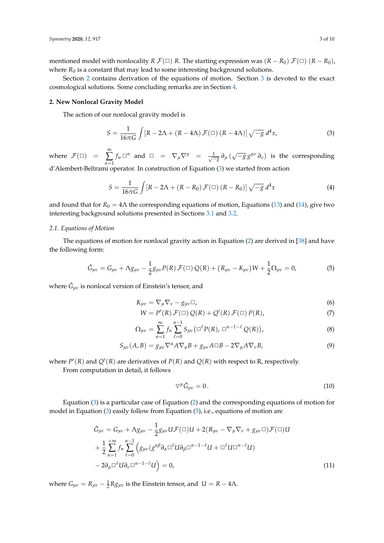mentioned model with nonlocality *R*  $\mathcal{F}(\Box)$  *R*. The starting expression was  $(R - R_0) \mathcal{F}(\Box)$   $(R - R_0)$ , where  $R_0$  is a constant that may lead to some interesting background solutions.

Section [2](#page-2-1) contains derivation of the equations of motion. Section [3](#page-4-0) is devoted to the exact cosmological solutions. Some concluding remarks are in Section [4.](#page-7-9)

# <span id="page-2-1"></span>**2. New Nonlocal Gravity Model**

The action of our nonlocal gravity model is

<span id="page-2-0"></span>
$$
S = \frac{1}{16\pi G} \int \left[ R - 2\Lambda + (R - 4\Lambda) \mathcal{F}(\square) \left( R - 4\Lambda \right) \right] \sqrt{-g} \, d^4x,\tag{3}
$$

where  $\mathcal{F}(\Box)$  = ∞ ∑ *n*=1  $f_n \Box^n$  and  $\Box = \nabla_\mu \nabla^\mu = \frac{1}{\sqrt{-g}} \partial_\mu (\sqrt{-g} g^{\mu\nu} \partial_\nu)$  is the corresponding d'Alembert-Beltrami operator. In construction of Equation [\(3\)](#page-2-0) we started from action

$$
S = \frac{1}{16\pi G} \int \left[ R - 2\Lambda + (R - R_0) \mathcal{F}(\square) \left( R - R_0 \right) \right] \sqrt{-g} d^4x \tag{4}
$$

and found that for  $R_0 = 4\Lambda$  the corresponding equations of motion, Equations [\(13\)](#page-3-0) and [\(14\)](#page-3-1), give two interesting background solutions presented in Sections [3.1](#page-4-1) and [3.2.](#page-5-0)

# *2.1. Equations of Motion*

The equations of motion for nonlocal gravity action in Equation [\(2\)](#page-1-0) are derived in [\[38\]](#page-9-0) and have the following form:

$$
\hat{G}_{\mu\nu} = G_{\mu\nu} + \Lambda g_{\mu\nu} - \frac{1}{2} g_{\mu\nu} P(R) \mathcal{F}(\Box) Q(R) + (R_{\mu\nu} - K_{\mu\nu}) W + \frac{1}{2} \Omega_{\mu\nu} = 0,
$$
\n(5)

where  $\hat{G}_{\mu\nu}$  is nonlocal version of Einstein's tensor, and

<span id="page-2-2"></span>
$$
K_{\mu\nu} = \nabla_{\mu}\nabla_{\nu} - g_{\mu\nu}\Box,
$$
\n(6)

$$
W = P'(R) \mathcal{F}(\square) Q(R) + Q'(R) \mathcal{F}(\square) P(R), \tag{7}
$$

$$
\Omega_{\mu\nu} = \sum_{n=1}^{\infty} f_n \sum_{\ell=0}^{n-1} S_{\mu\nu} (\Box^{\ell} P(R), \Box^{n-1-\ell} Q(R)), \tag{8}
$$

$$
S_{\mu\nu}(A,B) = g_{\mu\nu}\nabla^{\alpha}A\nabla_{\alpha}B + g_{\mu\nu}A\Box B - 2\nabla_{\mu}A\nabla_{\nu}B,\tag{9}
$$

where  $P'(R)$  and  $Q'(R)$  are derivatives of  $P(R)$  and  $Q(R)$  with respect to R, respectively.

From computation in detail, it follows

<span id="page-2-3"></span>
$$
\nabla^{\mu}\hat{G}_{\mu\nu} = 0. \tag{10}
$$

Equation [\(3\)](#page-2-0) is a particular case of Equation [\(2\)](#page-1-0) and the corresponding equations of motion for model in Equation [\(3\)](#page-2-0) easily follow from Equation [\(5\)](#page-2-2), i.e., equations of motion are

$$
\hat{G}_{\mu\nu} = G_{\mu\nu} + \Lambda g_{\mu\nu} - \frac{1}{2} g_{\mu\nu} U \mathcal{F}(\Box) U + 2 (R_{\mu\nu} - \nabla_{\mu} \nabla_{\nu} + g_{\mu\nu} \Box) \mathcal{F}(\Box) U \n+ \frac{1}{2} \sum_{n=1}^{+\infty} f_n \sum_{\ell=0}^{n-1} \left( g_{\mu\nu} (g^{\alpha\beta} \partial_{\alpha} \Box^{\ell} U \partial_{\beta} \Box^{n-1-\ell} U + \Box^{\ell} U \Box^{n-\ell} U) \right) \n- 2 \partial_{\mu} \Box^{\ell} U \partial_{\nu} \Box^{n-1-\ell} U \right) = 0,
$$
\n(11)

where  $G_{\mu\nu} = R_{\mu\nu} - \frac{1}{2} R g_{\mu\nu}$  is the Einstein tensor, and  $U = R - 4\Lambda$ .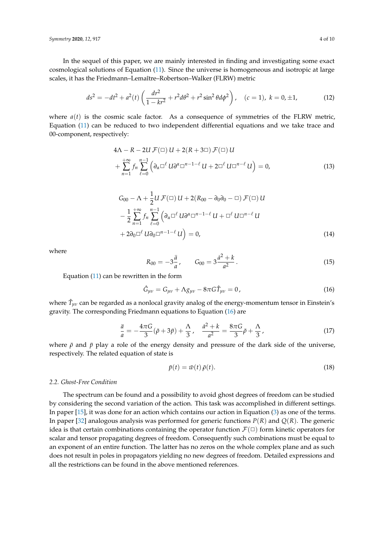*Symmetry* **2020**, *12*, 917 4 of 10

In the sequel of this paper, we are mainly interested in finding and investigating some exact cosmological solutions of Equation [\(11\)](#page-2-3). Since the universe is homogeneous and isotropic at large scales, it has the Friedmann–Lemaître–Robertson–Walker (FLRW) metric

$$
ds^{2} = -dt^{2} + a^{2}(t) \left( \frac{dr^{2}}{1 - kr^{2}} + r^{2} d\theta^{2} + r^{2} \sin^{2} \theta d\phi^{2} \right), \quad (c = 1), k = 0, \pm 1,
$$
 (12)

where  $a(t)$  is the cosmic scale factor. As a consequence of symmetries of the FLRW metric, Equation [\(11\)](#page-2-3) can be reduced to two independent differential equations and we take trace and 00-component, respectively:

<span id="page-3-3"></span>
$$
4\Lambda - R - 2U \mathcal{F}(\square) U + 2(R + 3\square) \mathcal{F}(\square) U + \sum_{n=1}^{+\infty} f_n \sum_{\ell=0}^{n-1} \left( \partial_\alpha \square^\ell U \partial^\alpha \square^{n-1-\ell} U + 2\square^\ell U \square^{n-\ell} U \right) = 0,
$$
\n(13)

$$
G_{00} - \Lambda + \frac{1}{2}U \mathcal{F}(\square) U + 2(R_{00} - \partial_0 \partial_0 - \square) \mathcal{F}(\square) U
$$
  

$$
- \frac{1}{2} \sum_{n=1}^{+\infty} f_n \sum_{\ell=0}^{n-1} \left( \partial_\alpha \square^\ell U \partial^\alpha \square^{n-1-\ell} U + \square^\ell U \square^{n-\ell} U \right)
$$
  

$$
+ 2\partial_0 \square^\ell U \partial_0 \square^{n-1-\ell} U = 0,
$$
 (14)

where

<span id="page-3-1"></span><span id="page-3-0"></span>
$$
R_{00} = -3\frac{\ddot{a}}{a}, \qquad G_{00} = 3\frac{\dot{a}^2 + k}{a^2} \,. \tag{15}
$$

Equation [\(11\)](#page-2-3) can be rewritten in the form

<span id="page-3-2"></span>
$$
\hat{G}_{\mu\nu} = G_{\mu\nu} + \Lambda g_{\mu\nu} - 8\pi G \hat{T}_{\mu\nu} = 0, \qquad (16)
$$

where  $\hat{T}_{\mu\nu}$  can be regarded as a nonlocal gravity analog of the energy-momentum tensor in Einstein's gravity. The corresponding Friedmann equations to Equation [\(16\)](#page-3-2) are

<span id="page-3-4"></span>
$$
\frac{\ddot{a}}{a} = -\frac{4\pi G}{3}(\bar{\rho} + 3\bar{p}) + \frac{\Lambda}{3}, \quad \frac{\dot{a}^2 + k}{a^2} = \frac{8\pi G}{3}\bar{\rho} + \frac{\Lambda}{3},\tag{17}
$$

where  $\bar{\rho}$  and  $\bar{p}$  play a role of the energy density and pressure of the dark side of the universe, respectively. The related equation of state is

$$
\bar{p}(t) = \bar{w}(t)\,\bar{\rho}(t). \tag{18}
$$

## *2.2. Ghost-Free Condition*

The spectrum can be found and a possibility to avoid ghost degrees of freedom can be studied by considering the second variation of the action. This task was accomplished in different settings. In paper [\[15\]](#page-8-12), it was done for an action which contains our action in Equation [\(3\)](#page-2-0) as one of the terms. In paper [\[32\]](#page-8-13) analogous analysis was performed for generic functions *P*(*R*) and *Q*(*R*). The generic idea is that certain combinations containing the operator function  $\mathcal{F}(\Box)$  form kinetic operators for scalar and tensor propagating degrees of freedom. Consequently such combinations must be equal to an exponent of an entire function. The latter has no zeros on the whole complex plane and as such does not result in poles in propagators yielding no new degrees of freedom. Detailed expressions and all the restrictions can be found in the above mentioned references.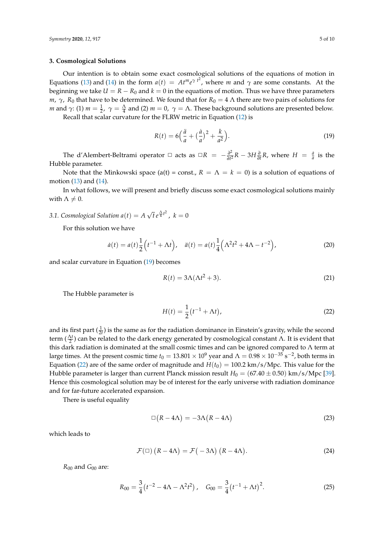# <span id="page-4-0"></span>**3. Cosmological Solutions**

Our intention is to obtain some exact cosmological solutions of the equations of motion in Equations [\(13\)](#page-3-0) and [\(14\)](#page-3-1) in the form  $a(t) = At^m e^{\gamma t^2}$ , where *m* and  $\gamma$  are some constants. At the beginning we take  $U = R - R_0$  and  $k = 0$  in the equations of motion. Thus we have three parameters *m*, *γ*, *R*<sub>0</sub> that have to be determined. We found that for  $R_0 = 4$  Λ there are two pairs of solutions for *m* and  $\gamma$ : (1)  $m = \frac{1}{2}$ ,  $\gamma = \frac{\Lambda}{4}$  and (2)  $m = 0$ ,  $\gamma = \Lambda$ . These background solutions are presented below. Recall that scalar curvature for the FLRW metric in Equation [\(12\)](#page-3-3) is

<span id="page-4-2"></span>
$$
R(t) = 6\left(\frac{\ddot{a}}{a} + \left(\frac{\dot{a}}{a}\right)^2 + \frac{k}{a^2}\right).
$$
 (19)

The d'Alembert-Beltrami operator  $\Box$  acts as  $\Box R = -\frac{\partial^2}{\partial t^2}$  $\frac{\partial^2}{\partial t^2}R - 3H \frac{\partial}{\partial t}R$ , where  $H = \frac{\dot{a}}{a}$  is the Hubble parameter.

Note that the Minkowski space (a(t) = const.,  $R = \Lambda = k = 0$ ) is a solution of equations of motion [\(13\)](#page-3-0) and [\(14\)](#page-3-1).

In what follows, we will present and briefly discuss some exact cosmological solutions mainly with  $\Lambda \neq 0$ .

#### <span id="page-4-1"></span>*3.1. Cosmological Solution a*(*t*) = *A* √  $\bar{t} e^{\frac{\Lambda}{4}t^2}$ ,  $k = 0$

For this solution we have

$$
\dot{a}(t) = a(t)\frac{1}{2}\left(t^{-1} + \Lambda t\right), \quad \ddot{a}(t) = a(t)\frac{1}{4}\left(\Lambda^2 t^2 + 4\Lambda - t^{-2}\right),\tag{20}
$$

and scalar curvature in Equation [\(19\)](#page-4-2) becomes

$$
R(t) = 3\Lambda(\Lambda t^2 + 3). \tag{21}
$$

The Hubble parameter is

<span id="page-4-3"></span>
$$
H(t) = \frac{1}{2} (t^{-1} + \Lambda t),
$$
\n(22)

and its first part  $(\frac{1}{2i})$  is the same as for the radiation dominance in Einstein's gravity, while the second term  $(\frac{\Delta t}{2})$  can be related to the dark energy generated by cosmological constant  $\Lambda$ . It is evident that this dark radiation is dominated at the small cosmic times and can be ignored compared to Λ term at large times. At the present cosmic time  $t_0=13.801\times 10^9$  year and  $\Lambda=0.98\times 10^{-35}$  s<sup>-2</sup>, both terms in Equation [\(22\)](#page-4-3) are of the same order of magnitude and  $H(t_0) = 100.2 \text{ km/s/Mpc}$ . This value for the Hubble parameter is larger than current Planck mission result  $H_0 = (67.40 \pm 0.50)$  km/s/Mpc [\[39\]](#page-9-1). Hence this cosmological solution may be of interest for the early universe with radiation dominance and for far-future accelerated expansion.

There is useful equality

$$
\Box (R - 4\Lambda) = -3\Lambda (R - 4\Lambda) \tag{23}
$$

which leads to

$$
\mathcal{F}(\Box) (R - 4\Lambda) = \mathcal{F}(-3\Lambda) (R - 4\Lambda). \tag{24}
$$

*R*<sup>00</sup> and *G*<sup>00</sup> are:

$$
R_{00} = \frac{3}{4} \left( t^{-2} - 4\Lambda - \Lambda^2 t^2 \right), \quad G_{00} = \frac{3}{4} \left( t^{-1} + \Lambda t \right)^2.
$$
 (25)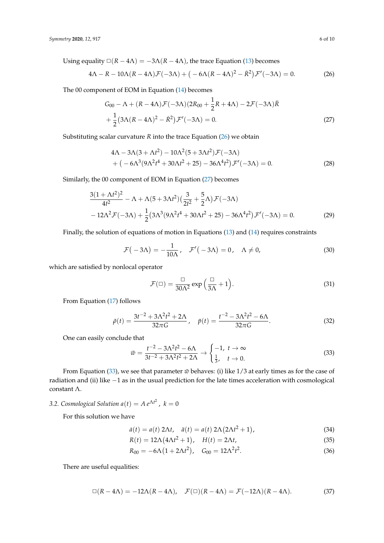Using equality  $\square(R - 4\Lambda) = -3\Lambda(R - 4\Lambda)$ , the trace Equation [\(13\)](#page-3-0) becomes

$$
4\Lambda - R - 10\Lambda(R - 4\Lambda)\mathcal{F}(-3\Lambda) + (-6\Lambda(R - 4\Lambda)^2 - \dot{R}^2)\mathcal{F}'(-3\Lambda) = 0.
$$
 (26)

The 00 component of EOM in Equation [\(14\)](#page-3-1) becomes

<span id="page-5-1"></span>
$$
G_{00} - \Lambda + (R - 4\Lambda)\mathcal{F}(-3\Lambda)(2R_{00} + \frac{1}{2}R + 4\Lambda) - 2\mathcal{F}(-3\Lambda)\ddot{R}
$$

$$
+ \frac{1}{2}(3\Lambda(R - 4\Lambda)^2 - \dot{R}^2)\mathcal{F}'(-3\Lambda) = 0.
$$
 (27)

Substituting scalar curvature *R* into the trace Equation [\(26\)](#page-5-1) we obtain

<span id="page-5-2"></span>
$$
4\Lambda - 3\Lambda(3 + \Lambda t^2) - 10\Lambda^2(5 + 3\Lambda t^2)\mathcal{F}(-3\Lambda)
$$
  
+ 
$$
(-6\Lambda^3(9\Lambda^2 t^4 + 30\Lambda t^2 + 25) - 36\Lambda^4 t^2)\mathcal{F}'(-3\Lambda) = 0.
$$
 (28)

Similarly, the 00 component of EOM in Equation [\(27\)](#page-5-2) becomes

$$
\frac{3(1+\Lambda t^2)^2}{4t^2} - \Lambda + \Lambda (5+3\Lambda t^2) \left(\frac{3}{2t^2} + \frac{5}{2}\Lambda\right) \mathcal{F}(-3\Lambda)
$$
  
-12\Lambda^2 \mathcal{F}(-3\Lambda) + \frac{1}{2} (3\Lambda^3 (9\Lambda^2 t^4 + 30\Lambda t^2 + 25) - 36\Lambda^4 t^2) \mathcal{F}'(-3\Lambda) = 0. (29)

Finally, the solution of equations of motion in Equations [\(13\)](#page-3-0) and [\(14\)](#page-3-1) requires constraints

$$
\mathcal{F}(-3\Lambda) = -\frac{1}{10\Lambda}, \quad \mathcal{F}'(-3\Lambda) = 0, \quad \Lambda \neq 0,
$$
 (30)

which are satisfied by nonlocal operator

<span id="page-5-6"></span>
$$
\mathcal{F}(\Box) = \frac{\Box}{30\Lambda^2} \exp\left(\frac{\Box}{3\Lambda} + 1\right).
$$
 (31)

From Equation [\(17\)](#page-3-4) follows

$$
\bar{\rho}(t) = \frac{3t^{-2} + 3\Lambda^2 t^2 + 2\Lambda}{32\pi G}, \quad \bar{p}(t) = \frac{t^{-2} - 3\Lambda^2 t^2 - 6\Lambda}{32\pi G}.
$$
 (32)

One can easily conclude that

<span id="page-5-3"></span>
$$
\bar{w} = \frac{t^{-2} - 3\Lambda^2 t^2 - 6\Lambda}{3t^{-2} + 3\Lambda^2 t^2 + 2\Lambda} \to \begin{cases} -1, & t \to \infty \\ \frac{1}{3}, & t \to 0. \end{cases} \tag{33}
$$

From Equation [\(33\)](#page-5-3), we see that parameter  $\bar{w}$  behaves: (i) like  $1/3$  at early times as for the case of radiation and (ii) like −1 as in the usual prediction for the late times acceleration with cosmological constant Λ.

# <span id="page-5-0"></span>3.2. Cosmological Solution  $a(t) = A e^{\Lambda t^2}$ ,  $k = 0$

For this solution we have

$$
\dot{a}(t) = a(t) 2\Lambda t, \quad \ddot{a}(t) = a(t) 2\Lambda (2\Lambda t^2 + 1), \tag{34}
$$

<span id="page-5-5"></span>
$$
R(t) = 12\Lambda \left(4\Lambda t^2 + 1\right), \quad H(t) = 2\Lambda t,\tag{35}
$$

<span id="page-5-4"></span>
$$
R_{00} = -6\Lambda (1 + 2\Lambda t^2), \quad G_{00} = 12\Lambda^2 t^2. \tag{36}
$$

There are useful equalities:

$$
\Box(R - 4\Lambda) = -12\Lambda(R - 4\Lambda), \quad \mathcal{F}(\Box)(R - 4\Lambda) = \mathcal{F}(-12\Lambda)(R - 4\Lambda). \tag{37}
$$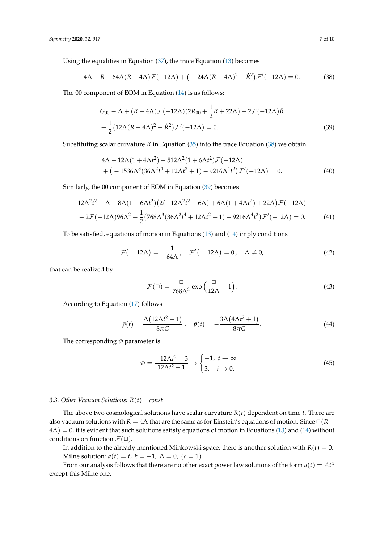Using the equalities in Equation [\(37\)](#page-5-4), the trace Equation [\(13\)](#page-3-0) becomes

$$
4\Lambda - R - 64\Lambda(R - 4\Lambda)\mathcal{F}(-12\Lambda) + \left(-24\Lambda(R - 4\Lambda)^2 - \dot{R}^2\right)\mathcal{F}'(-12\Lambda) = 0.
$$
 (38)

The 00 component of EOM in Equation [\(14\)](#page-3-1) is as follows:

<span id="page-6-1"></span><span id="page-6-0"></span>
$$
G_{00} - \Lambda + (R - 4\Lambda)\mathcal{F}(-12\Lambda)(2R_{00} + \frac{1}{2}R + 22\Lambda) - 2\mathcal{F}(-12\Lambda)\ddot{R} + \frac{1}{2}(12\Lambda(R - 4\Lambda)^2 - \dot{R}^2)\mathcal{F}'(-12\Lambda) = 0.
$$
 (39)

Substituting scalar curvature *R* in Equation [\(35\)](#page-5-5) into the trace Equation [\(38\)](#page-6-0) we obtain

$$
4\Lambda - 12\Lambda(1 + 4\Lambda t^2) - 512\Lambda^2(1 + 6\Lambda t^2)\mathcal{F}(-12\Lambda)
$$
  
+ (-1536 $\Lambda^3$ (36 $\Lambda^2 t^4$  + 12 $\Lambda t^2$  + 1) - 9216 $\Lambda^4 t^2$ ) $\mathcal{F}'(-12\Lambda) = 0.$  (40)

Similarly, the 00 component of EOM in Equation [\(39\)](#page-6-1) becomes

$$
12\Lambda^2 t^2 - \Lambda + 8\Lambda (1 + 6\Lambda t^2) \left( 2(-12\Lambda^2 t^2 - 6\Lambda) + 6\Lambda (1 + 4\Lambda t^2) + 22\Lambda \right) \mathcal{F}(-12\Lambda)
$$
  
- 2\mathcal{F}(-12\Lambda)96\Lambda^2 + \frac{1}{2} \left( 768\Lambda^3 (36\Lambda^2 t^4 + 12\Lambda t^2 + 1) - 9216\Lambda^4 t^2 \right) \mathcal{F}'(-12\Lambda) = 0. \tag{41}

To be satisfied, equations of motion in Equations [\(13\)](#page-3-0) and [\(14\)](#page-3-1) imply conditions

$$
\mathcal{F}(-12\Lambda) = -\frac{1}{64\Lambda}, \quad \mathcal{F}'(-12\Lambda) = 0, \quad \Lambda \neq 0,
$$
 (42)

that can be realized by

<span id="page-6-2"></span>
$$
\mathcal{F}(\Box) = \frac{\Box}{768\Lambda^2} \exp\left(\frac{\Box}{12\Lambda} + 1\right). \tag{43}
$$

According to Equation [\(17\)](#page-3-4) follows

$$
\bar{\rho}(t) = \frac{\Lambda(12\Lambda t^2 - 1)}{8\pi G}, \quad \bar{p}(t) = -\frac{3\Lambda(4\Lambda t^2 + 1)}{8\pi G}.
$$
\n(44)

The corresponding  $\bar{w}$  parameter is

$$
\bar{w} = \frac{-12\Lambda t^2 - 3}{12\Lambda t^2 - 1} \to \begin{cases} -1, & t \to \infty \\ 3, & t \to 0. \end{cases}
$$
(45)

# *3.3. Other Vacuum Solutions: R*(*t*) *= const*

The above two cosmological solutions have scalar curvature *R*(*t*) dependent on time *t*. There are also vacuum solutions with *R* = 4 $\Lambda$  that are the same as for Einstein's equations of motion. Since  $\Box$ (*R* −  $4\Lambda$ ) = 0, it is evident that such solutions satisfy equations of motion in Equations [\(13\)](#page-3-0) and [\(14\)](#page-3-1) without conditions on function  $\mathcal{F}(\Box)$ .

In addition to the already mentioned Minkowski space, there is another solution with  $R(t) = 0$ : Milne solution:  $a(t) = t$ ,  $k = -1$ ,  $\Lambda = 0$ ,  $(c = 1)$ .

From our analysis follows that there are no other exact power law solutions of the form  $a(t) = At^{\alpha}$ except this Milne one.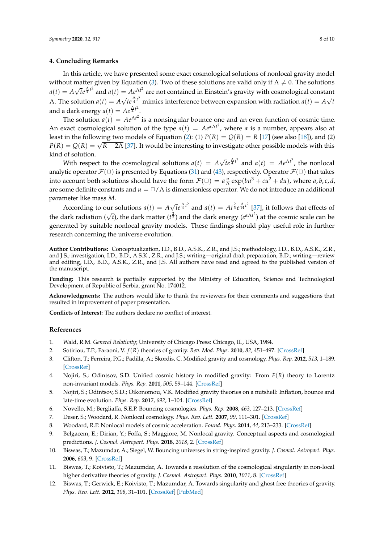# <span id="page-7-9"></span>**4. Concluding Remarks**

In this article, we have presented some exact cosmological solutions of nonlocal gravity model without matter given by Equation [\(3\)](#page-2-0). Two of these solutions are valid only if  $\Lambda \neq 0$ . The solutions  $a(t) = A$ √  $\bar{t}e^{\frac{\Lambda}{4}t^2}$  and  $a(t)=Ae^{\Lambda t^2}$  are not contained in Einstein's gravity with cosmological constant  $\Lambda$ . The solution  $a(t) = A$ √ *th*<sup>2</sup> mimics interference between expansion with radiation  $a(t) = A\sqrt{t}$ *t* and a dark energy  $a(t) = Ae^{\frac{\Lambda}{4}t^2}$ .

The solution  $a(t) = Ae^{\Lambda t^2}$  is a nonsingular bounce one and an even function of cosmic time. An exact cosmological solution of the type  $a(t) = Ae^{a\Lambda t^2}$ , where  $\alpha$  is a number, appears also at least in the following two models of Equation [\(2\)](#page-1-0): (1)  $P(R) = Q(R) = R$  [\[17\]](#page-8-5) (see also [\[18\]](#page-8-6)), and (2) *P*(*R*) = *Q*(*R*) =  $\sqrt{R - 2\Lambda}$  [\[37\]](#page-8-11). It would be interesting to investigate other possible models with this kind of solution. √

With respect to the cosmological solutions  $a(t) = A$  $\bar{t}e^{\frac{\Lambda}{4}t^2}$  and  $a(t) = Ae^{\Lambda t^2}$ , the nonlocal analytic operator  $\mathcal{F}(\Box)$  is presented by Equations [\(31\)](#page-5-6) and [\(43\)](#page-6-2), respectively. Operator  $\mathcal{F}(\Box)$  that takes into account both solutions should have the form  $\mathcal{F}(\Box) = a \frac{u}{\Lambda} \exp(bu^3 + cu^2 + du)$ , where *a*, *b*, *c*, *d*, are some definite constants and  $u = \Box / \Lambda$  is dimensionless operator. We do not introduce an additional parameter like mass *M*. √

According to our solutions  $a(t) = A$  $\bar{t}e^{\frac{\Lambda}{4}t^2}$  and  $a(t) = At^{\frac{2}{3}}e^{\frac{\Lambda}{14}t^2}$  [\[37\]](#page-8-11), it follows that effects of the dark radiation ( $\sqrt{t}$ ), the dark matter ( $t^{\frac{2}{3}}$ ) and the dark energy ( $e^{\alpha \Delta t^2}$ ) at the cosmic scale can be generated by suitable nonlocal gravity models. These findings should play useful role in further research concerning the universe evolution.

**Author Contributions:** Conceptualization, I.D., B.D., A.S.K., Z.R., and J.S.; methodology, I.D., B.D., A.S.K., Z.R., and J.S.; investigation, I.D., B.D., A.S.K., Z.R., and J.S.; writing—original draft preparation, B.D.; writing—review and editing, I.D., B.D., A.S.K., Z.R., and J.S. All authors have read and agreed to the published version of the manuscript.

**Funding:** This research is partially supported by the Ministry of Education, Science and Technological Development of Republic of Serbia, grant No. 174012.

**Acknowledgments:** The authors would like to thank the reviewers for their comments and suggestions that resulted in improvement of paper presentation.

**Conflicts of Interest:** The authors declare no conflict of interest.

## **References**

- <span id="page-7-0"></span>1. Wald, R.M. *General Relativity*; University of Chicago Press: Chicago, IL, USA, 1984.
- <span id="page-7-1"></span>2. Sotiriou, T.P.; Faraoni, V. *f*(*R*) theories of gravity. *Rev. Mod. Phys*. **2010**, *82*, 451–497. [\[CrossRef\]](http://dx.doi.org/10.1103/RevModPhys.82.451)
- 3. Clifton, T.; Ferreira, P.G.; Padilla, A.; Skordis, C. Modified gravity and cosmology. *Phys. Rep.* **2012**, *513*, 1–189. [\[CrossRef\]](http://dx.doi.org/10.1016/j.physrep.2012.01.001)
- <span id="page-7-4"></span>4. Nojiri, S.; Odintsov, S.D. Unified cosmic history in modified gravity: From *F*(*R*) theory to Lorentz non-invariant models. *Phys. Rep.* **2011**, *505*, 59–144. [\[CrossRef\]](http://dx.doi.org/10.1016/j.physrep.2011.04.001)
- 5. Nojiri, S.; Odintsov, S.D.; Oikonomou, V.K. Modified gravity theories on a nutshell: Inflation, bounce and late-time evolution. *Phys. Rep.* **2017**, *692*, 1–104. [\[CrossRef\]](http://dx.doi.org/10.1016/j.physrep.2017.06.001)
- <span id="page-7-2"></span>6. Novello, M.; Bergliaffa, S.E.P. Bouncing cosmologies. *Phys. Rep.* **2008**, *463*, 127–213. [\[CrossRef\]](http://dx.doi.org/10.1016/j.physrep.2008.04.006)
- <span id="page-7-3"></span>7. Deser, S.; Woodard, R. Nonlocal cosmology. *Phys. Rev. Lett.* **2007**, *99*, 111–301. [\[CrossRef\]](http://dx.doi.org/10.1103/PhysRevLett.99.111301)
- <span id="page-7-6"></span><span id="page-7-5"></span>8. Woodard, R.P. Nonlocal models of cosmic acceleration. *Found. Phys.* **2014**, *44*, 213–233. [\[CrossRef\]](http://dx.doi.org/10.1007/s10701-014-9780-6)
- 9. Belgacem, E.; Dirian, Y.; Foffa, S.; Maggiore, M. Nonlocal gravity. Conceptual aspects and cosmological predictions. *J. Cosmol. Astropart. Phys.* **2018**, *2018*, 2. [\[CrossRef\]](http://dx.doi.org/10.1088/1475-7516/2018/03/002)
- <span id="page-7-7"></span>10. Biswas, T.; Mazumdar, A.; Siegel, W. Bouncing universes in string-inspired gravity. *J. Cosmol. Astropart. Phys.* **2006**, *603*, 9. [\[CrossRef\]](http://dx.doi.org/10.1088/1475-7516/2006/03/009)
- <span id="page-7-8"></span>11. Biswas, T.; Koivisto, T.; Mazumdar, A. Towards a resolution of the cosmological singularity in non-local higher derivative theories of gravity. *J. Cosmol. Astropart. Phys.* **2010**, *1011*, 8. [\[CrossRef\]](http://dx.doi.org/10.1088/1475-7516/2010/11/008)
- 12. Biswas, T.; Gerwick, E.; Koivisto, T.; Mazumdar, A. Towards singularity and ghost free theories of gravity. *Phys. Rev. Lett.* **2012**, *108*, 31–101. [\[CrossRef\]](http://dx.doi.org/10.1103/PhysRevLett.108.031101) [\[PubMed\]](http://www.ncbi.nlm.nih.gov/pubmed/22400725)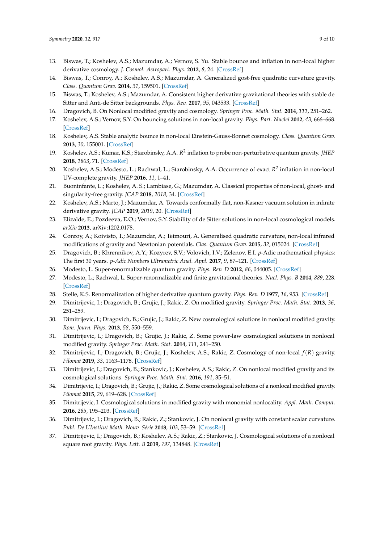- 13. Biswas, T.; Koshelev, A.S.; Mazumdar, A.; Vernov, S. Yu. Stable bounce and inflation in non-local higher derivative cosmology. *J. Cosmol. Astropart. Phys.* **2012**, *8*, 24. [\[CrossRef\]](http://dx.doi.org/10.1088/1475-7516/2012/08/024)
- <span id="page-8-4"></span>14. Biswas, T.; Conroy, A.; Koshelev, A.S.; Mazumdar, A. Generalized gost-free quadratic curvature gravity. *Class. Quantum Grav.* **2014**, *31*, 159501. [\[CrossRef\]](http://dx.doi.org/10.1088/0264-9381/31/15/159501)
- <span id="page-8-12"></span>15. Biswas, T.; Koshelev, A.S.; Mazumdar, A. Consistent higher derivative gravitational theories with stable de Sitter and Anti-de Sitter backgrounds. *Phys. Rev.* **2017**, *95*, 043533. [\[CrossRef\]](http://dx.doi.org/10.1103/PhysRevD.95.043533)
- 16. Dragovich, B. On Nonlocal modified gravity and cosmology. *Springer Proc. Math. Stat.* **2014**, *111*, 251–262.
- <span id="page-8-5"></span>17. Koshelev, A.S.; Vernov, S.Y. On bouncing solutions in non-local gravity. *Phys. Part. Nuclei* **2012**, *43*, 666–668. [\[CrossRef\]](http://dx.doi.org/10.1134/S106377961205019X)
- <span id="page-8-6"></span>18. Koshelev, A.S. Stable analytic bounce in non-local Einstein-Gauss-Bonnet cosmology. *Class. Quantum Grav.* **2013**, *30*, 155001. [\[CrossRef\]](http://dx.doi.org/10.1088/0264-9381/30/15/155001)
- <span id="page-8-10"></span>19. Koshelev, A.S.; Kumar, K.S.; Starobinsky, A.A. *R* 2 inflation to probe non-perturbative quantum gravity. *JHEP* **2018**, *1803*, 71. [\[CrossRef\]](http://dx.doi.org/10.1007/JHEP03(2018)071)
- <span id="page-8-7"></span>20. Koshelev, A.S.; Modesto, L.; Rachwal, L.; Starobinsky, A.A. Occurrence of exact  $R^2$  inflation in non-local UV-complete gravity. *JHEP* **2016**, *11*, 1–41.
- 21. Buoninfante, L.; Koshelev, A. S.; Lambiase, G.; Mazumdar, A. Classical properties of non-local, ghost- and singularity-free gravity. *JCAP* **2018**, *2018*, 34. [\[CrossRef\]](http://dx.doi.org/10.1088/1475-7516/2018/09/034)
- 22. Koshelev, A.S.; Marto, J.; Mazumdar, A. Towards conformally flat, non-Kasner vacuum solution in infinite derivative gravity. *JCAP* **2019**, *2019*, 20. [\[CrossRef\]](http://dx.doi.org/10.1088/1475-7516/2019/02/020)
- 23. Elizalde, E.; Pozdeeva, E.O.; Vernov, S.Y. Stability of de Sitter solutions in non-local cosmological models. *arXiv* **2013**, arXiv:1202.0178.
- <span id="page-8-0"></span>24. Conroy, A.; Koivisto, T.; Mazumdar, A.; Teimouri, A. Generalised quadratic curvature, non-local infrared modifications of gravity and Newtonian potentials. *Clas. Quantum Grav.* **2015**, *32*, 015024. [\[CrossRef\]](http://dx.doi.org/10.1088/0264-9381/32/1/015024)
- <span id="page-8-1"></span>25. Dragovich, B.; Khrennikov, A.Y.; Kozyrev, S.V.; Volovich, I.V.; Zelenov, E.I. *p*-Adic mathematical physics: The first 30 years. *p-Adic Numbers Ultrametric Anal. Appl.* **2017**, *9*, 87–121. [\[CrossRef\]](http://dx.doi.org/10.1134/S2070046617020017)
- <span id="page-8-2"></span>26. Modesto, L. Super-renormalizable quantum gravity. *Phys. Rev. D* **2012**, *86*, 044005. [\[CrossRef\]](http://dx.doi.org/10.1103/PhysRevD.86.044005)
- 27. Modesto, L.; Rachwal, L. Super-renormalizable and finite gravitational theories. *Nucl. Phys. B* **2014**, *889*, 228. [\[CrossRef\]](http://dx.doi.org/10.1016/j.nuclphysb.2014.10.015)
- <span id="page-8-8"></span><span id="page-8-3"></span>28. Stelle, K.S. Renormalization of higher derivative quantum gravity. *Phys. Rev. D* **1977**, *16*, 953. [\[CrossRef\]](http://dx.doi.org/10.1103/PhysRevD.16.953)
- 29. Dimitrijevic, I.; Dragovich, B.; Grujic, J.; Rakic, Z. On modified gravity. *Springer Proc. Math. Stat.* **2013**, *36*, 251–259.
- 30. Dimitrijevic, I.; Dragovich, B.; Grujic, J.; Rakic, Z. New cosmological solutions in nonlocal modified gravity. *Rom. Journ. Phys.* **2013**, *58*, 550–559.
- 31. Dimitrijevic, I.; Dragovich, B.; Grujic, J.; Rakic, Z. Some power-law cosmological solutions in nonlocal modified gravity. *Springer Proc. Math. Stat.* **2014**, *111*, 241–250.
- <span id="page-8-13"></span>32. Dimitrijevic, I.; Dragovich, B.; Grujic, J.; Koshelev, A.S.; Rakic, Z. Cosmology of non-local *f*(*R*) gravity. *Filomat* **2019**, *33*, 1163–1178. [\[CrossRef\]](http://dx.doi.org/10.2298/FIL1904163D)
- 33. Dimitrijevic, I.; Dragovich, B.; Stankovic, J.; Koshelev, A.S.; Rakic, Z. On nonlocal modified gravity and its cosmological solutions. *Springer Proc. Math. Stat.* **2016**, *191*, 35–51.
- 34. Dimitrijevic, I.; Dragovich, B.; Grujic, J.; Rakic, Z. Some cosmological solutions of a nonlocal modified gravity. *Filomat* **2015**, *29*, 619–628. [\[CrossRef\]](http://dx.doi.org/10.2298/FIL1503619D)
- 35. Dimitrijevic, I. Cosmological solutions in modified gravity with monomial nonlocality. *Appl. Math. Comput.* **2016**, *285*, 195–203. [\[CrossRef\]](http://dx.doi.org/10.1016/j.amc.2016.03.030)
- <span id="page-8-9"></span>36. Dimitrijevic, I.; Dragovich, B.; Rakic, Z.; Stankovic, J. On nonlocal gravity with constant scalar curvature. *Publ. De L'Institut Math. Nouv. Série* **2018**, *103*, 53–59. [\[CrossRef\]](http://dx.doi.org/10.2298/PIM1817053D)
- <span id="page-8-11"></span>37. Dimitrijevic, I.; Dragovich, B.; Koshelev, A.S.; Rakic, Z.; Stankovic, J. Cosmological solutions of a nonlocal square root gravity. *Phys. Lett. B* **2019**, *797*, 134848. [\[CrossRef\]](http://dx.doi.org/10.1016/j.physletb.2019.134848)